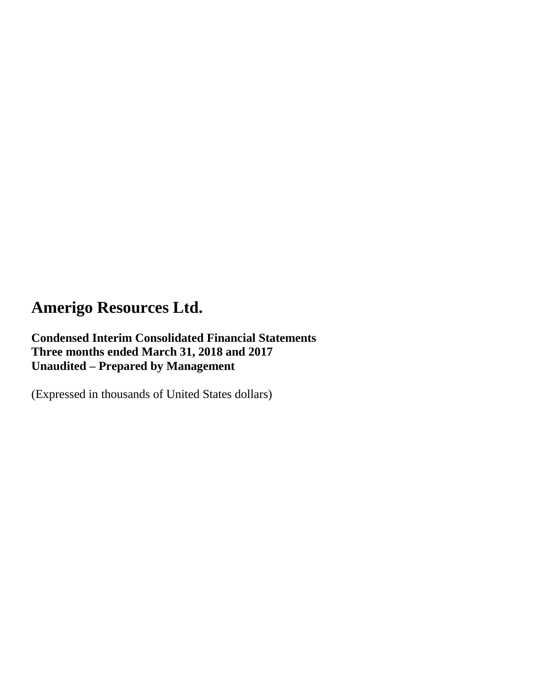### **Condensed Interim Consolidated Financial Statements Three months ended March 31, 2018 and 2017 Unaudited – Prepared by Management**

(Expressed in thousands of United States dollars)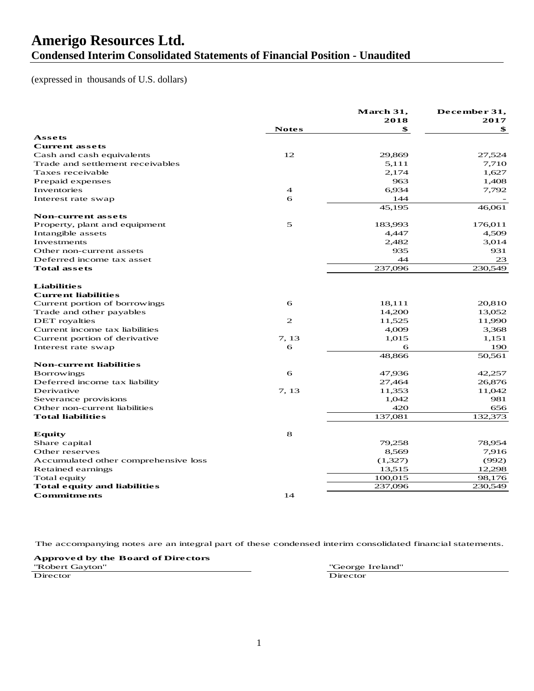### **Amerigo Resources Ltd. Condensed Interim Consolidated Statements of Financial Position - Unaudited**

#### (expressed in thousands of U.S. dollars)

|                                      |                | March 31,<br>2018 | December 31,<br>2017 |
|--------------------------------------|----------------|-------------------|----------------------|
|                                      | <b>Notes</b>   | \$                | \$                   |
| Assets                               |                |                   |                      |
| <b>Current assets</b>                |                |                   |                      |
| Cash and cash equivalents            | 12             | 29,869            | 27,524               |
| Trade and settlement receivables     |                | 5,111             | 7,710                |
| Taxes receivable                     |                | 2,174             | 1,627                |
| Prepaid expenses                     |                | 963               | 1,408                |
| Inventories                          | $\overline{4}$ | 6,934             | 7,792                |
| Interest rate swap                   | 6              | 144               |                      |
|                                      |                | 45,195            | 46,061               |
| <b>Non-current assets</b>            |                |                   |                      |
| Property, plant and equipment        | 5              | 183,993           | 176,011              |
| Intangible assets                    |                | 4,447             | 4,509                |
| Investments                          |                | 2,482             | 3,014                |
| Other non-current assets             |                | 935               | 931                  |
| Deferred income tax asset            |                | 44                | 23                   |
| <b>Total assets</b>                  |                | 237,096           | 230.549              |
| <b>Liabilities</b>                   |                |                   |                      |
| <b>Current liabilities</b>           |                |                   |                      |
| Current portion of borrowings        | 6              | 18,111            | 20,810               |
| Trade and other payables             |                | 14,200            | 13,052               |
| <b>DET</b> royalties                 | 2              | 11,525            | 11,990               |
| Current income tax liabilities       |                | 4,009             | 3,368                |
| Current portion of derivative        | 7, 13          | 1,015             | 1,151                |
| Interest rate swap                   | 6              | 6                 | 190                  |
|                                      |                | 48,866            | 50,561               |
| <b>Non-current liabilities</b>       |                |                   |                      |
| <b>Borrowings</b>                    | 6              | 47,936            | 42,257               |
| Deferred income tax liability        |                | 27,464            | 26,876               |
| Derivative                           | 7, 13          | 11,353            | 11,042               |
| Severance provisions                 |                | 1,042             | 981                  |
| Other non-current liabilities        |                | 420               | 656                  |
| <b>Total liabilities</b>             |                | 137,081           | 132,373              |
| <b>Equity</b>                        | 8              |                   |                      |
| Share capital                        |                | 79,258            | 78,954               |
| Other reserves                       |                | 8,569             | 7,916                |
| Accumulated other comprehensive loss |                | (1,327)           | (992)                |
| Retained earnings                    |                | 13,515            | 12,298               |
| Total equity                         |                | 100,015           | 98,176               |
| <b>Total equity and liabilities</b>  |                | 237,096           | 230,549              |
| <b>Commitments</b>                   | 14             |                   |                      |

The accompanying notes are an integral part of these condensed interim consolidated financial statements.

**Approved by the Board of Directors** "Robert Gayton" "George Ireland" Director Director Director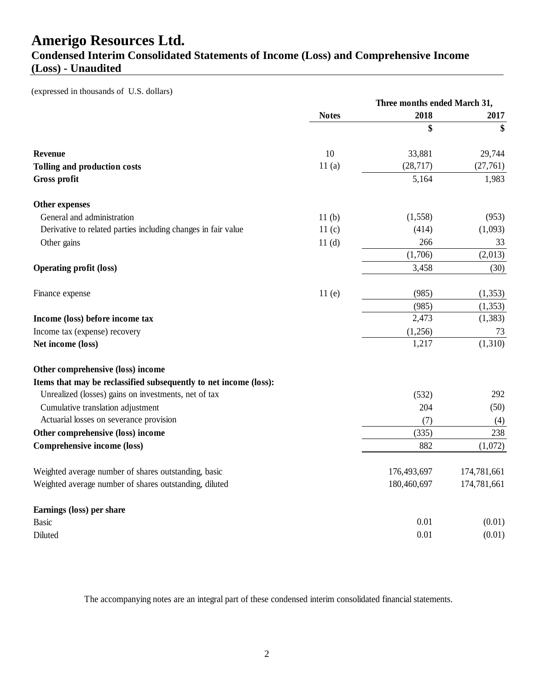### **Condensed Interim Consolidated Statements of Income (Loss) and Comprehensive Income (Loss) - Unaudited**

(expressed in thousands of U.S. dollars)

|                                                                   |                   | Three months ended March 31, |             |  |
|-------------------------------------------------------------------|-------------------|------------------------------|-------------|--|
|                                                                   | <b>Notes</b>      | 2018                         | 2017        |  |
|                                                                   |                   | \$                           | \$          |  |
| Revenue                                                           | 10                | 33,881                       | 29,744      |  |
| Tolling and production costs                                      | 11(a)             | (28, 717)                    | (27,761)    |  |
| <b>Gross profit</b>                                               |                   | 5,164                        | 1,983       |  |
| Other expenses                                                    |                   |                              |             |  |
| General and administration                                        | 11 <sub>(b)</sub> | (1, 558)                     | (953)       |  |
| Derivative to related parties including changes in fair value     | 11(c)             | (414)                        | (1,093)     |  |
| Other gains                                                       | 11 <sub>(d)</sub> | 266                          | 33          |  |
|                                                                   |                   | (1,706)                      | (2,013)     |  |
| <b>Operating profit (loss)</b>                                    |                   | 3,458                        | (30)        |  |
| Finance expense                                                   | 11(e)             | (985)                        | (1, 353)    |  |
|                                                                   |                   | (985)                        | (1, 353)    |  |
| Income (loss) before income tax                                   |                   | 2,473                        | (1, 383)    |  |
| Income tax (expense) recovery                                     |                   | (1,256)                      | 73          |  |
| Net income (loss)                                                 |                   | 1,217                        | (1,310)     |  |
| Other comprehensive (loss) income                                 |                   |                              |             |  |
| Items that may be reclassified subsequently to net income (loss): |                   |                              |             |  |
| Unrealized (losses) gains on investments, net of tax              |                   | (532)                        | 292         |  |
| Cumulative translation adjustment                                 |                   | 204                          | (50)        |  |
| Actuarial losses on severance provision                           |                   | (7)                          | (4)         |  |
| Other comprehensive (loss) income                                 |                   | (335)                        | 238         |  |
| <b>Comprehensive income (loss)</b>                                |                   | 882                          | (1,072)     |  |
| Weighted average number of shares outstanding, basic              |                   | 176,493,697                  | 174,781,661 |  |
| Weighted average number of shares outstanding, diluted            |                   | 180,460,697                  | 174,781,661 |  |
| Earnings (loss) per share                                         |                   |                              |             |  |
| <b>Basic</b>                                                      |                   | 0.01                         | (0.01)      |  |
| Diluted                                                           |                   | 0.01                         | (0.01)      |  |

The accompanying notes are an integral part of these condensed interim consolidated financial statements.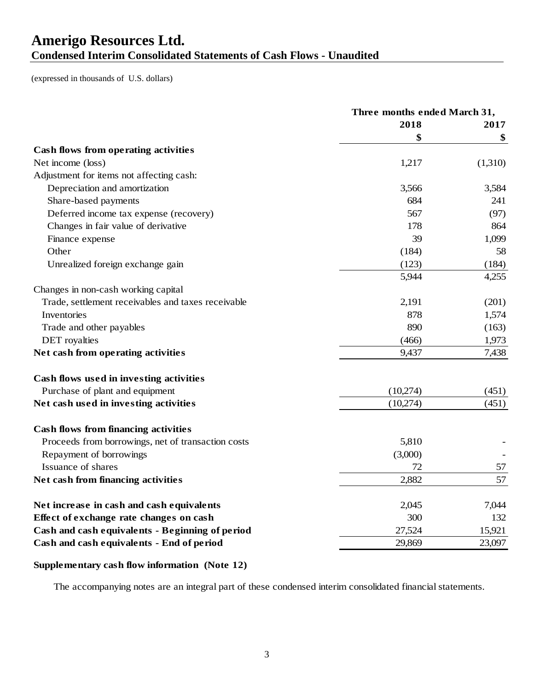## **Amerigo Resources Ltd. Condensed Interim Consolidated Statements of Cash Flows - Unaudited**

(expressed in thousands of U.S. dollars)

|                                                    | Three months ended March 31, |         |
|----------------------------------------------------|------------------------------|---------|
|                                                    | 2018                         | 2017    |
|                                                    | \$                           | \$      |
| Cash flows from operating activities               |                              |         |
| Net income (loss)                                  | 1,217                        | (1,310) |
| Adjustment for items not affecting cash:           |                              |         |
| Depreciation and amortization                      | 3,566                        | 3,584   |
| Share-based payments                               | 684                          | 241     |
| Deferred income tax expense (recovery)             | 567                          | (97)    |
| Changes in fair value of derivative                | 178                          | 864     |
| Finance expense                                    | 39                           | 1,099   |
| Other                                              | (184)                        | 58      |
| Unrealized foreign exchange gain                   | (123)                        | (184)   |
|                                                    | 5,944                        | 4,255   |
| Changes in non-cash working capital                |                              |         |
| Trade, settlement receivables and taxes receivable | 2,191                        | (201)   |
| Inventories                                        | 878                          | 1,574   |
| Trade and other payables                           | 890                          | (163)   |
| <b>DET</b> royalties                               | (466)                        | 1,973   |
| Net cash from operating activities                 | 9,437                        | 7,438   |
| Cash flows used in investing activities            |                              |         |
| Purchase of plant and equipment                    | (10,274)                     | (451)   |
| Net cash used in investing activities              | (10,274)                     | (451)   |
| <b>Cash flows from financing activities</b>        |                              |         |
| Proceeds from borrowings, net of transaction costs | 5,810                        |         |
| Repayment of borrowings                            | (3,000)                      |         |
| Issuance of shares                                 | 72                           | 57      |
| Net cash from financing activities                 | 2,882                        | 57      |
| Net increase in cash and cash equivalents          | 2,045                        | 7,044   |
| Effect of exchange rate changes on cash            | 300                          | 132     |
| Cash and cash equivalents - Beginning of period    | 27,524                       | 15,921  |
| Cash and cash equivalents - End of period          | 29,869                       | 23,097  |

### **Supplementary cash flow information (Note 12)**

The accompanying notes are an integral part of these condensed interim consolidated financial statements.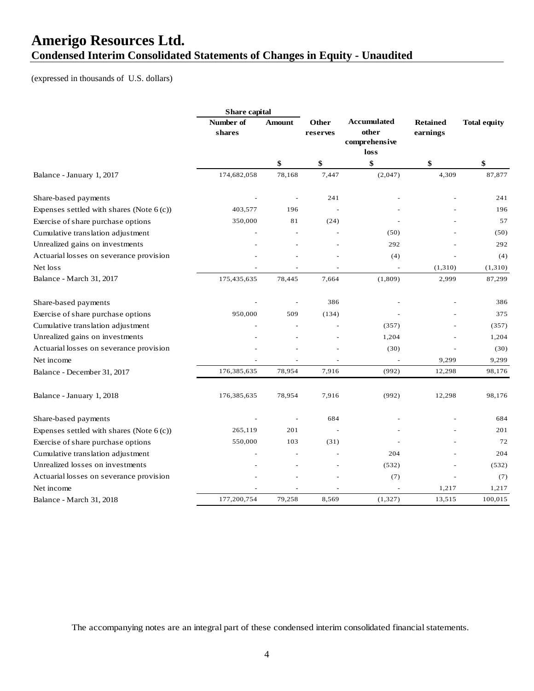## **Amerigo Resources Ltd. Condensed Interim Consolidated Statements of Changes in Equity - Unaudited**

(expressed in thousands of U.S. dollars)

|                                             | Share capital       |                |                   |                                                      |                             |                     |
|---------------------------------------------|---------------------|----------------|-------------------|------------------------------------------------------|-----------------------------|---------------------|
|                                             | Number of<br>shares | <b>Amount</b>  | Other<br>reserves | <b>Accumulated</b><br>other<br>comprehensive<br>loss | <b>Retained</b><br>earnings | <b>Total equity</b> |
|                                             |                     | \$             | \$                | \$                                                   | \$                          | \$                  |
| Balance - January 1, 2017                   | 174,682,058         | 78,168         | 7,447             | (2,047)                                              | 4,309                       | 87,877              |
| Share-based payments                        |                     | ÷.             | 241               |                                                      |                             | 241                 |
| Expenses settled with shares (Note $6(c)$ ) | 403,577             | 196            |                   |                                                      |                             | 196                 |
| Exercise of share purchase options          | 350,000             | 81             | (24)              |                                                      |                             | 57                  |
| Cumulative translation adjustment           |                     |                |                   | (50)                                                 |                             | (50)                |
| Unrealized gains on investments             |                     |                |                   | 292                                                  |                             | 292                 |
| Actuarial losses on severance provision     |                     |                |                   | (4)                                                  |                             | (4)                 |
| Net loss                                    |                     |                |                   | $\overline{a}$                                       | (1,310)                     | (1,310)             |
| Balance - March 31, 2017                    | 175,435,635         | 78,445         | 7,664             | (1,809)                                              | 2,999                       | 87,299              |
| Share-based payments                        |                     |                | 386               |                                                      |                             | 386                 |
| Exercise of share purchase options          | 950,000             | 509            | (134)             |                                                      |                             | 375                 |
| Cumulative translation adjustment           |                     |                |                   | (357)                                                |                             | (357)               |
| Unrealized gains on investments             |                     |                |                   | 1,204                                                |                             | 1,204               |
| Actuarial losses on severance provision     |                     |                |                   | (30)                                                 |                             | (30)                |
| Net income                                  |                     | ÷,             |                   |                                                      | 9,299                       | 9,299               |
| Balance - December 31, 2017                 | 176,385,635         | 78,954         | 7,916             | (992)                                                | 12,298                      | 98,176              |
| Balance - January 1, 2018                   | 176,385,635         | 78,954         | 7,916             | (992)                                                | 12,298                      | 98,176              |
| Share-based payments                        |                     | $\overline{a}$ | 684               |                                                      |                             | 684                 |
| Expenses settled with shares (Note $6(c)$ ) | 265,119             | 201            |                   |                                                      |                             | 201                 |
| Exercise of share purchase options          | 550,000             | 103            | (31)              |                                                      |                             | 72                  |
| Cumulative translation adjustment           |                     |                |                   | 204                                                  |                             | 204                 |
| Unrealized losses on investments            |                     |                |                   | (532)                                                |                             | (532)               |
| Actuarial losses on severance provision     |                     |                |                   | (7)                                                  |                             | (7)                 |
| Net income                                  |                     |                |                   |                                                      | 1,217                       | 1,217               |
| Balance - March 31, 2018                    | 177,200,754         | 79,258         | 8,569             | (1, 327)                                             | 13,515                      | 100,015             |

The accompanying notes are an integral part of these condensed interim consolidated financial statements.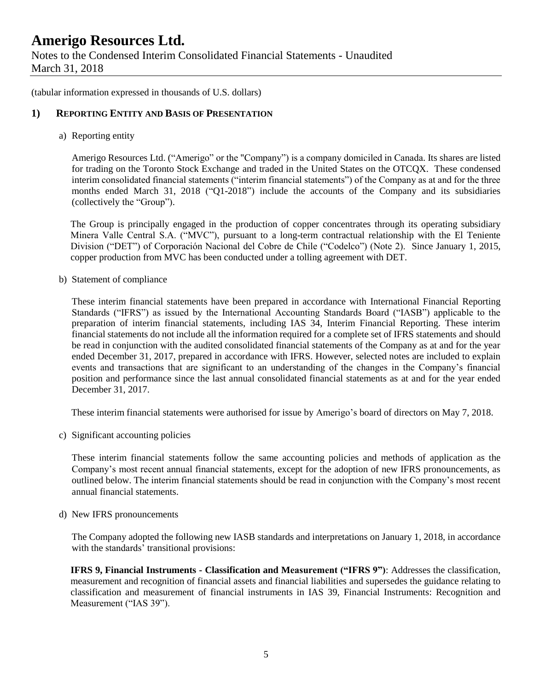(tabular information expressed in thousands of U.S. dollars)

### **1) REPORTING ENTITY AND BASIS OF PRESENTATION**

a) Reporting entity

Amerigo Resources Ltd. ("Amerigo" or the "Company") is a company domiciled in Canada. Its shares are listed for trading on the Toronto Stock Exchange and traded in the United States on the OTCQX. These condensed interim consolidated financial statements ("interim financial statements") of the Company as at and for the three months ended March 31, 2018 ("Q1-2018") include the accounts of the Company and its subsidiaries (collectively the "Group").

The Group is principally engaged in the production of copper concentrates through its operating subsidiary Minera Valle Central S.A. ("MVC"), pursuant to a long-term contractual relationship with the El Teniente Division ("DET") of Corporación Nacional del Cobre de Chile ("Codelco") (Note 2). Since January 1, 2015, copper production from MVC has been conducted under a tolling agreement with DET.

b) Statement of compliance

These interim financial statements have been prepared in accordance with International Financial Reporting Standards ("IFRS") as issued by the International Accounting Standards Board ("IASB") applicable to the preparation of interim financial statements, including IAS 34, Interim Financial Reporting. These interim financial statements do not include all the information required for a complete set of IFRS statements and should be read in conjunction with the audited consolidated financial statements of the Company as at and for the year ended December 31, 2017, prepared in accordance with IFRS. However, selected notes are included to explain events and transactions that are significant to an understanding of the changes in the Company's financial position and performance since the last annual consolidated financial statements as at and for the year ended December 31, 2017.

These interim financial statements were authorised for issue by Amerigo's board of directors on May 7, 2018.

c) Significant accounting policies

These interim financial statements follow the same accounting policies and methods of application as the Company's most recent annual financial statements, except for the adoption of new IFRS pronouncements, as outlined below. The interim financial statements should be read in conjunction with the Company's most recent annual financial statements.

d) New IFRS pronouncements

The Company adopted the following new IASB standards and interpretations on January 1, 2018, in accordance with the standards' transitional provisions:

**IFRS 9, Financial Instruments - Classification and Measurement ("IFRS 9")**: Addresses the classification, measurement and recognition of financial assets and financial liabilities and supersedes the guidance relating to classification and measurement of financial instruments in IAS 39, Financial Instruments: Recognition and Measurement ("IAS 39").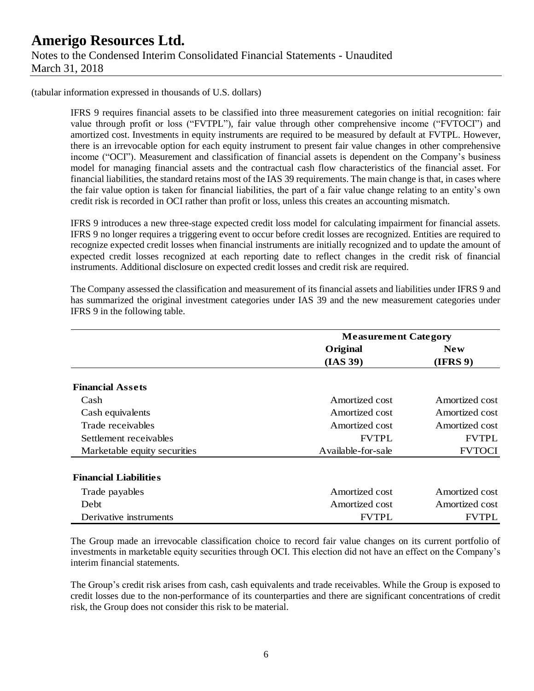IFRS 9 requires financial assets to be classified into three measurement categories on initial recognition: fair value through profit or loss ("FVTPL"), fair value through other comprehensive income ("FVTOCI") and amortized cost. Investments in equity instruments are required to be measured by default at FVTPL. However, there is an irrevocable option for each equity instrument to present fair value changes in other comprehensive income ("OCI"). Measurement and classification of financial assets is dependent on the Company's business model for managing financial assets and the contractual cash flow characteristics of the financial asset. For financial liabilities, the standard retains most of the IAS 39 requirements. The main change is that, in cases where the fair value option is taken for financial liabilities, the part of a fair value change relating to an entity's own credit risk is recorded in OCI rather than profit or loss, unless this creates an accounting mismatch.

IFRS 9 introduces a new three-stage expected credit loss model for calculating impairment for financial assets. IFRS 9 no longer requires a triggering event to occur before credit losses are recognized. Entities are required to recognize expected credit losses when financial instruments are initially recognized and to update the amount of expected credit losses recognized at each reporting date to reflect changes in the credit risk of financial instruments. Additional disclosure on expected credit losses and credit risk are required.

The Company assessed the classification and measurement of its financial assets and liabilities under IFRS 9 and has summarized the original investment categories under IAS 39 and the new measurement categories under IFRS 9 in the following table.

|                              | <b>Measurement Category</b> |                |  |
|------------------------------|-----------------------------|----------------|--|
|                              | Original                    | New            |  |
|                              | (IAS 39)                    | (IFRS 9)       |  |
| <b>Financial Assets</b>      |                             |                |  |
| Cash                         | Amortized cost              | Amortized cost |  |
| Cash equivalents             | Amortized cost              | Amortized cost |  |
| Trade receivables            | Amortized cost              | Amortized cost |  |
| Settlement receivables       | <b>FVTPL</b>                | <b>FVTPL</b>   |  |
| Marketable equity securities | Available-for-sale          | <b>FVTOCI</b>  |  |
| <b>Financial Liabilities</b> |                             |                |  |
| Trade payables               | Amortized cost              | Amortized cost |  |
| Debt                         | Amortized cost              | Amortized cost |  |
| Derivative instruments       | <b>FVTPL</b>                | <b>FVTPL</b>   |  |

The Group made an irrevocable classification choice to record fair value changes on its current portfolio of investments in marketable equity securities through OCI. This election did not have an effect on the Company's interim financial statements.

The Group's credit risk arises from cash, cash equivalents and trade receivables. While the Group is exposed to credit losses due to the non-performance of its counterparties and there are significant concentrations of credit risk, the Group does not consider this risk to be material.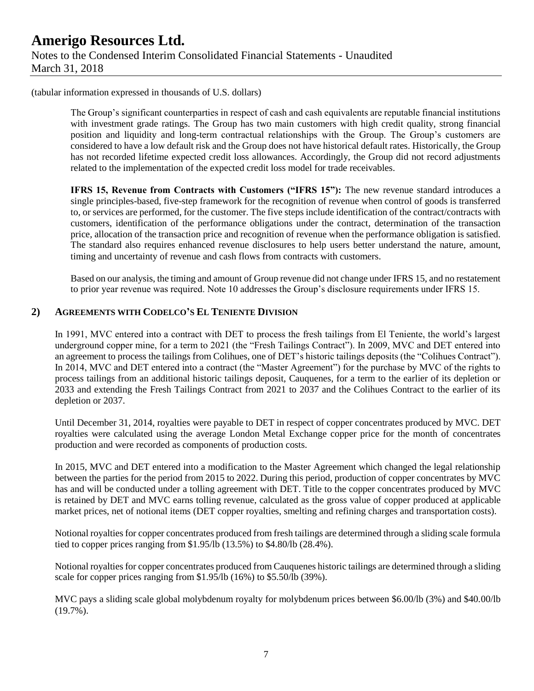The Group's significant counterparties in respect of cash and cash equivalents are reputable financial institutions with investment grade ratings. The Group has two main customers with high credit quality, strong financial position and liquidity and long-term contractual relationships with the Group. The Group's customers are considered to have a low default risk and the Group does not have historical default rates. Historically, the Group has not recorded lifetime expected credit loss allowances. Accordingly, the Group did not record adjustments related to the implementation of the expected credit loss model for trade receivables.

**IFRS 15, Revenue from Contracts with Customers ("IFRS 15"):** The new revenue standard introduces a single principles-based, five-step framework for the recognition of revenue when control of goods is transferred to, or services are performed, for the customer. The five steps include identification of the contract/contracts with customers, identification of the performance obligations under the contract, determination of the transaction price, allocation of the transaction price and recognition of revenue when the performance obligation is satisfied. The standard also requires enhanced revenue disclosures to help users better understand the nature, amount, timing and uncertainty of revenue and cash flows from contracts with customers.

Based on our analysis, the timing and amount of Group revenue did not change under IFRS 15, and no restatement to prior year revenue was required. Note 10 addresses the Group's disclosure requirements under IFRS 15.

### **2) AGREEMENTS WITH CODELCO'S EL TENIENTE DIVISION**

In 1991, MVC entered into a contract with DET to process the fresh tailings from El Teniente, the world's largest underground copper mine, for a term to 2021 (the "Fresh Tailings Contract"). In 2009, MVC and DET entered into an agreement to process the tailings from Colihues, one of DET's historic tailings deposits (the "Colihues Contract"). In 2014, MVC and DET entered into a contract (the "Master Agreement") for the purchase by MVC of the rights to process tailings from an additional historic tailings deposit, Cauquenes, for a term to the earlier of its depletion or 2033 and extending the Fresh Tailings Contract from 2021 to 2037 and the Colihues Contract to the earlier of its depletion or 2037.

Until December 31, 2014, royalties were payable to DET in respect of copper concentrates produced by MVC. DET royalties were calculated using the average London Metal Exchange copper price for the month of concentrates production and were recorded as components of production costs.

In 2015, MVC and DET entered into a modification to the Master Agreement which changed the legal relationship between the parties for the period from 2015 to 2022. During this period, production of copper concentrates by MVC has and will be conducted under a tolling agreement with DET. Title to the copper concentrates produced by MVC is retained by DET and MVC earns tolling revenue, calculated as the gross value of copper produced at applicable market prices, net of notional items (DET copper royalties, smelting and refining charges and transportation costs).

Notional royalties for copper concentrates produced from fresh tailings are determined through a sliding scale formula tied to copper prices ranging from \$1.95/lb (13.5%) to \$4.80/lb (28.4%).

Notional royalties for copper concentrates produced from Cauquenes historic tailings are determined through a sliding scale for copper prices ranging from \$1.95/lb (16%) to \$5.50/lb (39%).

MVC pays a sliding scale global molybdenum royalty for molybdenum prices between \$6.00/lb (3%) and \$40.00/lb  $(19.7\%)$ .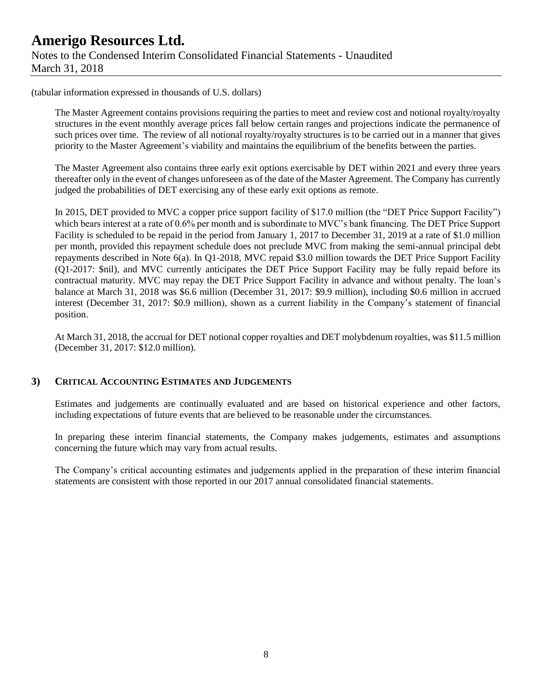The Master Agreement contains provisions requiring the parties to meet and review cost and notional royalty/royalty structures in the event monthly average prices fall below certain ranges and projections indicate the permanence of such prices over time. The review of all notional royalty/royalty structures is to be carried out in a manner that gives priority to the Master Agreement's viability and maintains the equilibrium of the benefits between the parties.

The Master Agreement also contains three early exit options exercisable by DET within 2021 and every three years thereafter only in the event of changes unforeseen as of the date of the Master Agreement. The Company has currently judged the probabilities of DET exercising any of these early exit options as remote.

In 2015, DET provided to MVC a copper price support facility of \$17.0 million (the "DET Price Support Facility") which bears interest at a rate of 0.6% per month and is subordinate to MVC's bank financing. The DET Price Support Facility is scheduled to be repaid in the period from January 1, 2017 to December 31, 2019 at a rate of \$1.0 million per month, provided this repayment schedule does not preclude MVC from making the semi-annual principal debt repayments described in Note 6(a). In Q1-2018, MVC repaid \$3.0 million towards the DET Price Support Facility (Q1-2017: \$nil), and MVC currently anticipates the DET Price Support Facility may be fully repaid before its contractual maturity. MVC may repay the DET Price Support Facility in advance and without penalty. The loan's balance at March 31, 2018 was \$6.6 million (December 31, 2017: \$9.9 million), including \$0.6 million in accrued interest (December 31, 2017: \$0.9 million), shown as a current liability in the Company's statement of financial position.

At March 31, 2018, the accrual for DET notional copper royalties and DET molybdenum royalties, was \$11.5 million (December 31, 2017: \$12.0 million).

### **3) CRITICAL ACCOUNTING ESTIMATES AND JUDGEMENTS**

Estimates and judgements are continually evaluated and are based on historical experience and other factors, including expectations of future events that are believed to be reasonable under the circumstances.

In preparing these interim financial statements, the Company makes judgements, estimates and assumptions concerning the future which may vary from actual results.

The Company's critical accounting estimates and judgements applied in the preparation of these interim financial statements are consistent with those reported in our 2017 annual consolidated financial statements.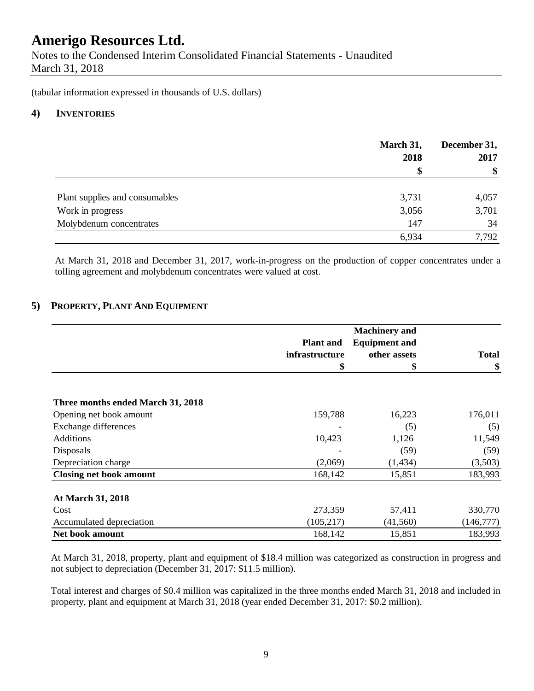Notes to the Condensed Interim Consolidated Financial Statements - Unaudited March 31, 2018

(tabular information expressed in thousands of U.S. dollars)

### **4) INVENTORIES**

|                                | March 31,<br>2018 | December 31,<br>2017 |  |
|--------------------------------|-------------------|----------------------|--|
|                                | \$                | \$                   |  |
| Plant supplies and consumables | 3,731             | 4,057                |  |
| Work in progress               | 3,056             | 3,701                |  |
| Molybdenum concentrates        | 147               | 34                   |  |
|                                | 6,934             | 7,792                |  |

At March 31, 2018 and December 31, 2017, work-in-progress on the production of copper concentrates under a tolling agreement and molybdenum concentrates were valued at cost.

### **5) PROPERTY, PLANT AND EQUIPMENT**

|                                   | <b>Plant</b> and | <b>Equipment and</b> |              |
|-----------------------------------|------------------|----------------------|--------------|
|                                   | infrastructure   | other assets         | <b>Total</b> |
|                                   | \$               | \$                   | \$           |
|                                   |                  |                      |              |
| Three months ended March 31, 2018 |                  |                      |              |
| Opening net book amount           | 159,788          | 16,223               | 176,011      |
| Exchange differences              |                  | (5)                  | (5)          |
| <b>Additions</b>                  | 10,423           | 1,126                | 11,549       |
| Disposals                         |                  | (59)                 | (59)         |
| Depreciation charge               | (2,069)          | (1,434)              | (3,503)      |
| <b>Closing net book amount</b>    | 168,142          | 15,851               | 183,993      |
| At March 31, 2018                 |                  |                      |              |
| Cost                              | 273,359          | 57,411               | 330,770      |
| Accumulated depreciation          | (105, 217)       | (41, 560)            | (146,777)    |
| Net book amount                   | 168,142          | 15,851               | 183,993      |

At March 31, 2018, property, plant and equipment of \$18.4 million was categorized as construction in progress and not subject to depreciation (December 31, 2017: \$11.5 million).

Total interest and charges of \$0.4 million was capitalized in the three months ended March 31, 2018 and included in property, plant and equipment at March 31, 2018 (year ended December 31, 2017: \$0.2 million).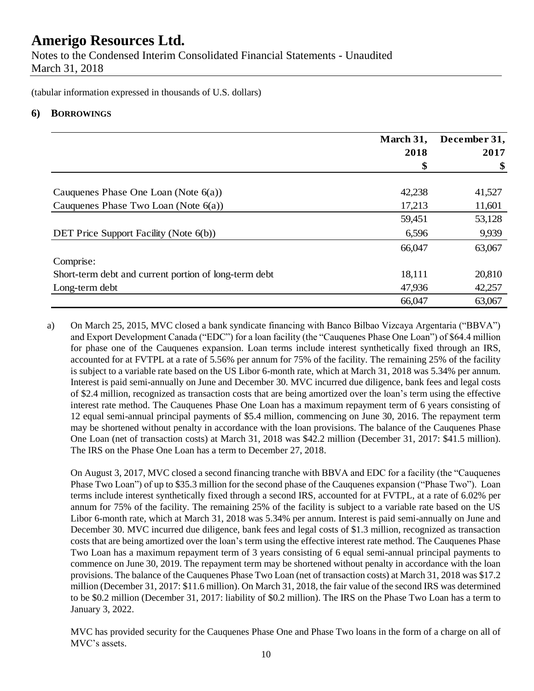Notes to the Condensed Interim Consolidated Financial Statements - Unaudited March 31, 2018

(tabular information expressed in thousands of U.S. dollars)

### **6) BORROWINGS**

|                                                       | March 31, | December 31, |
|-------------------------------------------------------|-----------|--------------|
|                                                       | 2018      | 2017         |
|                                                       | \$        |              |
| Cauquenes Phase One Loan (Note $6(a)$ )               | 42,238    | 41,527       |
| Cauquenes Phase Two Loan (Note $6(a)$ )               | 17,213    | 11,601       |
|                                                       | 59,451    | 53,128       |
| DET Price Support Facility (Note 6(b))                | 6,596     | 9,939        |
|                                                       | 66,047    | 63,067       |
| Comprise:                                             |           |              |
| Short-term debt and current portion of long-term debt | 18,111    | 20,810       |
| Long-term debt                                        | 47,936    | 42,257       |
|                                                       | 66,047    | 63,067       |

a) On March 25, 2015, MVC closed a bank syndicate financing with Banco Bilbao Vizcaya Argentaria ("BBVA") and Export Development Canada ("EDC") for a loan facility (the "Cauquenes Phase One Loan") of \$64.4 million for phase one of the Cauquenes expansion. Loan terms include interest synthetically fixed through an IRS, accounted for at FVTPL at a rate of 5.56% per annum for 75% of the facility. The remaining 25% of the facility is subject to a variable rate based on the US Libor 6-month rate, which at March 31, 2018 was 5.34% per annum. Interest is paid semi-annually on June and December 30. MVC incurred due diligence, bank fees and legal costs of \$2.4 million, recognized as transaction costs that are being amortized over the loan's term using the effective interest rate method. The Cauquenes Phase One Loan has a maximum repayment term of 6 years consisting of 12 equal semi-annual principal payments of \$5.4 million, commencing on June 30, 2016. The repayment term may be shortened without penalty in accordance with the loan provisions. The balance of the Cauquenes Phase One Loan (net of transaction costs) at March 31, 2018 was \$42.2 million (December 31, 2017: \$41.5 million). The IRS on the Phase One Loan has a term to December 27, 2018.

On August 3, 2017, MVC closed a second financing tranche with BBVA and EDC for a facility (the "Cauquenes Phase Two Loan") of up to \$35.3 million for the second phase of the Cauquenes expansion ("Phase Two"). Loan terms include interest synthetically fixed through a second IRS, accounted for at FVTPL, at a rate of 6.02% per annum for 75% of the facility. The remaining 25% of the facility is subject to a variable rate based on the US Libor 6-month rate, which at March 31, 2018 was 5.34% per annum. Interest is paid semi-annually on June and December 30. MVC incurred due diligence, bank fees and legal costs of \$1.3 million, recognized as transaction costs that are being amortized over the loan's term using the effective interest rate method. The Cauquenes Phase Two Loan has a maximum repayment term of 3 years consisting of 6 equal semi-annual principal payments to commence on June 30, 2019. The repayment term may be shortened without penalty in accordance with the loan provisions. The balance of the Cauquenes Phase Two Loan (net of transaction costs) at March 31, 2018 was \$17.2 million (December 31, 2017: \$11.6 million). On March 31, 2018, the fair value of the second IRS was determined to be \$0.2 million (December 31, 2017: liability of \$0.2 million). The IRS on the Phase Two Loan has a term to January 3, 2022.

MVC has provided security for the Cauquenes Phase One and Phase Two loans in the form of a charge on all of MVC's assets.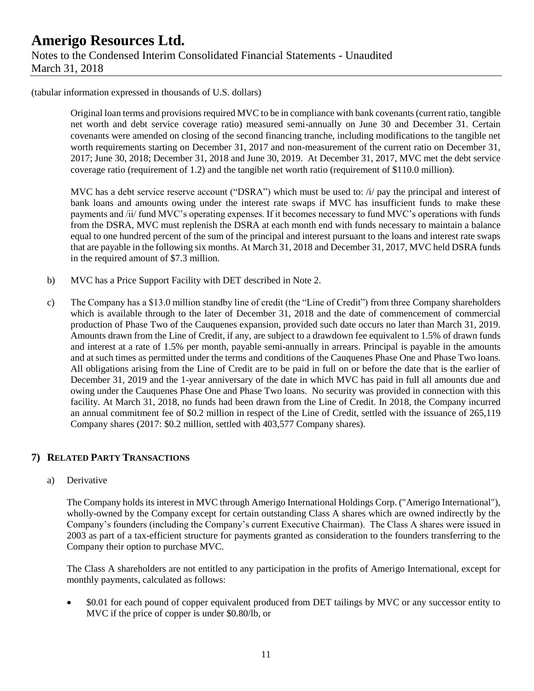Original loan terms and provisions required MVC to be in compliance with bank covenants (current ratio, tangible net worth and debt service coverage ratio) measured semi-annually on June 30 and December 31. Certain covenants were amended on closing of the second financing tranche, including modifications to the tangible net worth requirements starting on December 31, 2017 and non-measurement of the current ratio on December 31, 2017; June 30, 2018; December 31, 2018 and June 30, 2019. At December 31, 2017, MVC met the debt service coverage ratio (requirement of 1.2) and the tangible net worth ratio (requirement of \$110.0 million).

MVC has a debt service reserve account ("DSRA") which must be used to: /i/ pay the principal and interest of bank loans and amounts owing under the interest rate swaps if MVC has insufficient funds to make these payments and /ii/ fund MVC's operating expenses. If it becomes necessary to fund MVC's operations with funds from the DSRA, MVC must replenish the DSRA at each month end with funds necessary to maintain a balance equal to one hundred percent of the sum of the principal and interest pursuant to the loans and interest rate swaps that are payable in the following six months. At March 31, 2018 and December 31, 2017, MVC held DSRA funds in the required amount of \$7.3 million.

- b) MVC has a Price Support Facility with DET described in Note 2.
- c) The Company has a \$13.0 million standby line of credit (the "Line of Credit") from three Company shareholders which is available through to the later of December 31, 2018 and the date of commencement of commercial production of Phase Two of the Cauquenes expansion, provided such date occurs no later than March 31, 2019. Amounts drawn from the Line of Credit, if any, are subject to a drawdown fee equivalent to 1.5% of drawn funds and interest at a rate of 1.5% per month, payable semi-annually in arrears. Principal is payable in the amounts and at such times as permitted under the terms and conditions of the Cauquenes Phase One and Phase Two loans. All obligations arising from the Line of Credit are to be paid in full on or before the date that is the earlier of December 31, 2019 and the 1-year anniversary of the date in which MVC has paid in full all amounts due and owing under the Cauquenes Phase One and Phase Two loans. No security was provided in connection with this facility. At March 31, 2018, no funds had been drawn from the Line of Credit. In 2018, the Company incurred an annual commitment fee of \$0.2 million in respect of the Line of Credit, settled with the issuance of 265,119 Company shares (2017: \$0.2 million, settled with 403,577 Company shares).

### **7) RELATED PARTY TRANSACTIONS**

a) Derivative

The Company holds its interest in MVC through Amerigo International Holdings Corp. ("Amerigo International"), wholly-owned by the Company except for certain outstanding Class A shares which are owned indirectly by the Company's founders (including the Company's current Executive Chairman). The Class A shares were issued in 2003 as part of a tax-efficient structure for payments granted as consideration to the founders transferring to the Company their option to purchase MVC.

The Class A shareholders are not entitled to any participation in the profits of Amerigo International, except for monthly payments, calculated as follows:

• \$0.01 for each pound of copper equivalent produced from DET tailings by MVC or any successor entity to MVC if the price of copper is under \$0.80/lb, or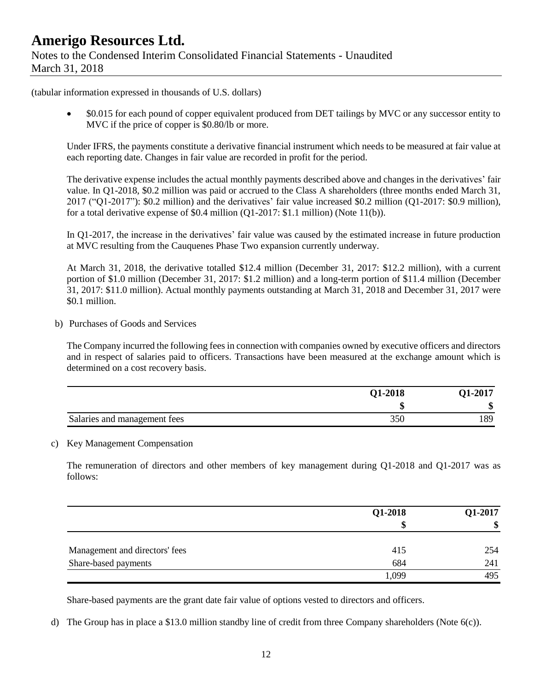• \$0.015 for each pound of copper equivalent produced from DET tailings by MVC or any successor entity to MVC if the price of copper is \$0.80/lb or more.

Under IFRS, the payments constitute a derivative financial instrument which needs to be measured at fair value at each reporting date. Changes in fair value are recorded in profit for the period.

The derivative expense includes the actual monthly payments described above and changes in the derivatives' fair value. In Q1-2018, \$0.2 million was paid or accrued to the Class A shareholders (three months ended March 31, 2017 ("Q1-2017"): \$0.2 million) and the derivatives' fair value increased \$0.2 million (Q1-2017: \$0.9 million), for a total derivative expense of \$0.4 million (Q1-2017: \$1.1 million) (Note 11(b)).

In Q1-2017, the increase in the derivatives' fair value was caused by the estimated increase in future production at MVC resulting from the Cauquenes Phase Two expansion currently underway.

At March 31, 2018, the derivative totalled \$12.4 million (December 31, 2017: \$12.2 million), with a current portion of \$1.0 million (December 31, 2017: \$1.2 million) and a long-term portion of \$11.4 million (December 31, 2017: \$11.0 million). Actual monthly payments outstanding at March 31, 2018 and December 31, 2017 were \$0.1 million.

b) Purchases of Goods and Services

The Company incurred the following fees in connection with companies owned by executive officers and directors and in respect of salaries paid to officers. Transactions have been measured at the exchange amount which is determined on a cost recovery basis.

|                              | Q1-2018 | O1-2017 |
|------------------------------|---------|---------|
|                              |         | ۱D      |
| Salaries and management fees | 350     | 189     |

### c) Key Management Compensation

The remuneration of directors and other members of key management during Q1-2018 and Q1-2017 was as follows:

|                                | Q1-2018 | Q1-2017 |  |
|--------------------------------|---------|---------|--|
|                                | S       | \$      |  |
| Management and directors' fees | 415     | 254     |  |
| Share-based payments           | 684     | 241     |  |
|                                | 1,099   | 495     |  |

Share-based payments are the grant date fair value of options vested to directors and officers.

d) The Group has in place a \$13.0 million standby line of credit from three Company shareholders (Note 6(c)).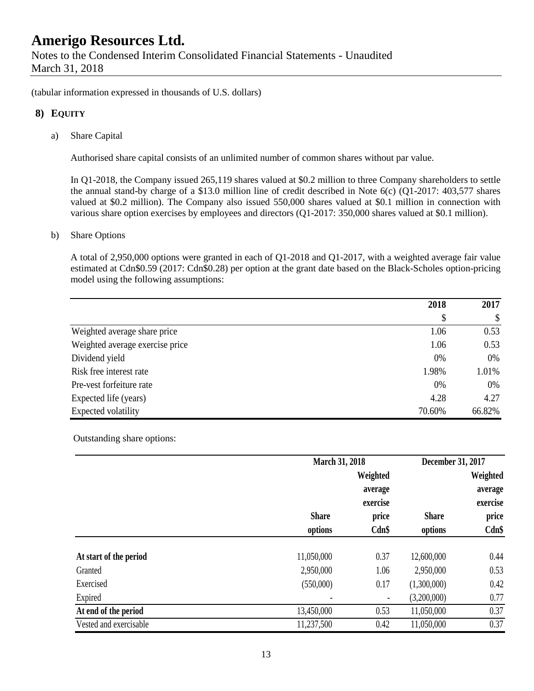(tabular information expressed in thousands of U.S. dollars)

### **8) EQUITY**

a) Share Capital

Authorised share capital consists of an unlimited number of common shares without par value.

In Q1-2018, the Company issued 265,119 shares valued at \$0.2 million to three Company shareholders to settle the annual stand-by charge of a \$13.0 million line of credit described in Note 6(c) (Q1-2017: 403,577 shares valued at \$0.2 million). The Company also issued 550,000 shares valued at \$0.1 million in connection with various share option exercises by employees and directors (Q1-2017: 350,000 shares valued at \$0.1 million).

#### b) Share Options

A total of 2,950,000 options were granted in each of Q1-2018 and Q1-2017, with a weighted average fair value estimated at Cdn\$0.59 (2017: Cdn\$0.28) per option at the grant date based on the Black-Scholes option-pricing model using the following assumptions:

|                                 | 2018   | 2017   |
|---------------------------------|--------|--------|
|                                 | \$     | \$     |
| Weighted average share price    | 1.06   | 0.53   |
| Weighted average exercise price | 1.06   | 0.53   |
| Dividend yield                  | 0%     | 0%     |
| Risk free interest rate         | 1.98%  | 1.01%  |
| Pre-vest forfeiture rate        | 0%     | 0%     |
| Expected life (years)           | 4.28   | 4.27   |
| Expected volatility             | 70.60% | 66.82% |

Outstanding share options:

|                        |              | March 31, 2018                  |              | December 31, 2017               |  |
|------------------------|--------------|---------------------------------|--------------|---------------------------------|--|
|                        |              | Weighted<br>average<br>exercise | <b>Share</b> | Weighted<br>average<br>exercise |  |
|                        | <b>Share</b> | price                           |              | price                           |  |
|                        | options      | Cdn\$                           | options      | Cdn\$                           |  |
| At start of the period | 11,050,000   | 0.37                            | 12,600,000   | 0.44                            |  |
| Granted                | 2,950,000    | 1.06                            | 2,950,000    | 0.53                            |  |
| Exercised              | (550,000)    | 0.17                            | (1,300,000)  | 0.42                            |  |
| Expired                |              | $\overline{\phantom{a}}$        | (3,200,000)  | 0.77                            |  |
| At end of the period   | 13,450,000   | 0.53                            | 11,050,000   | 0.37                            |  |
| Vested and exercisable | 11,237,500   | 0.42                            | 11,050,000   | 0.37                            |  |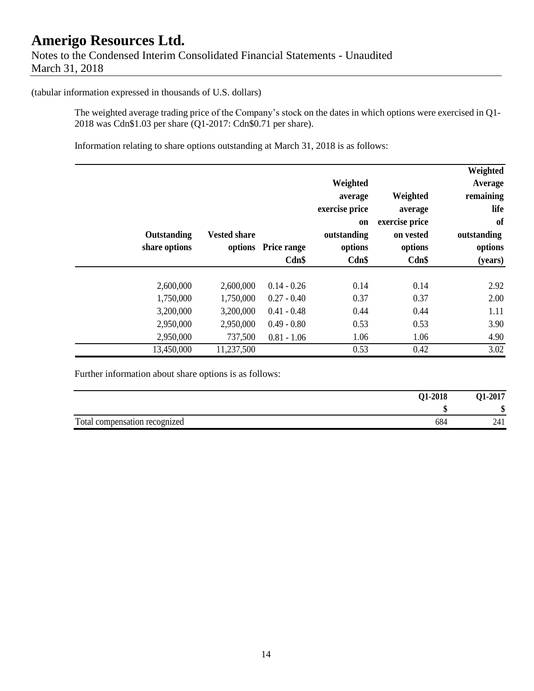### **Amerigo Resources Ltd.** Notes to the Condensed Interim Consolidated Financial Statements - Unaudited March 31, 2018

(tabular information expressed in thousands of U.S. dollars)

The weighted average trading price of the Company's stock on the dates in which options were exercised in Q1- 2018 was Cdn\$1.03 per share (Q1-2017: Cdn\$0.71 per share).

Information relating to share options outstanding at March 31, 2018 is as follows:

|               |                     |                     |                |                | Weighted    |
|---------------|---------------------|---------------------|----------------|----------------|-------------|
|               |                     |                     | Weighted       |                | Average     |
|               |                     |                     | average        | Weighted       | remaining   |
|               |                     |                     | exercise price | average        | life        |
|               |                     |                     | <b>on</b>      | exercise price | of          |
| Outstanding   | <b>Vested share</b> |                     | outstanding    | on vested      | outstanding |
| share options |                     | options Price range | options        | options        | options     |
|               |                     | Cdn\$               | Cdn\$          | Cdn\$          | (years)     |
|               |                     |                     |                |                |             |
| 2,600,000     | 2,600,000           | $0.14 - 0.26$       | 0.14           | 0.14           | 2.92        |
| 1,750,000     | 1,750,000           | $0.27 - 0.40$       | 0.37           | 0.37           | 2.00        |
| 3,200,000     | 3,200,000           | $0.41 - 0.48$       | 0.44           | 0.44           | 1.11        |
| 2,950,000     | 2,950,000           | $0.49 - 0.80$       | 0.53           | 0.53           | 3.90        |
| 2,950,000     | 737,500             | $0.81 - 1.06$       | 1.06           | 1.06           | 4.90        |
| 13,450,000    | 11,237,500          |                     | 0.53           | 0.42           | 3.02        |

Further information about share options is as follows:

| Q1-2018                              | 01-2017 |
|--------------------------------------|---------|
|                                      |         |
| Total compensation recognized<br>684 | 241     |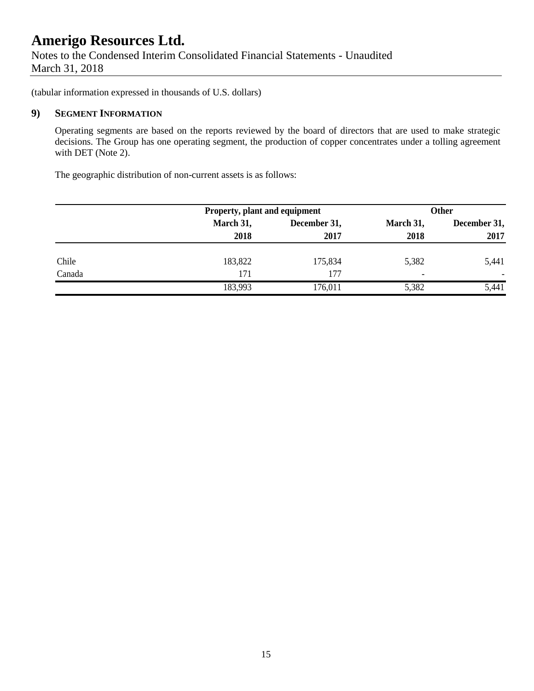Notes to the Condensed Interim Consolidated Financial Statements - Unaudited March 31, 2018

(tabular information expressed in thousands of U.S. dollars)

### **9) SEGMENT INFORMATION**

Operating segments are based on the reports reviewed by the board of directors that are used to make strategic decisions. The Group has one operating segment, the production of copper concentrates under a tolling agreement with DET (Note 2).

The geographic distribution of non-current assets is as follows:

|        |           | Property, plant and equipment |                          | <b>Other</b> |  |
|--------|-----------|-------------------------------|--------------------------|--------------|--|
|        | March 31, | December 31,                  | March 31,                | December 31, |  |
|        | 2018      | 2017                          | 2018                     | 2017         |  |
| Chile  | 183,822   | 175,834                       | 5,382                    | 5,441        |  |
| Canada | 171       | 177                           | $\overline{\phantom{0}}$ |              |  |
|        | 183,993   | 176,011                       | 5,382                    | 5,441        |  |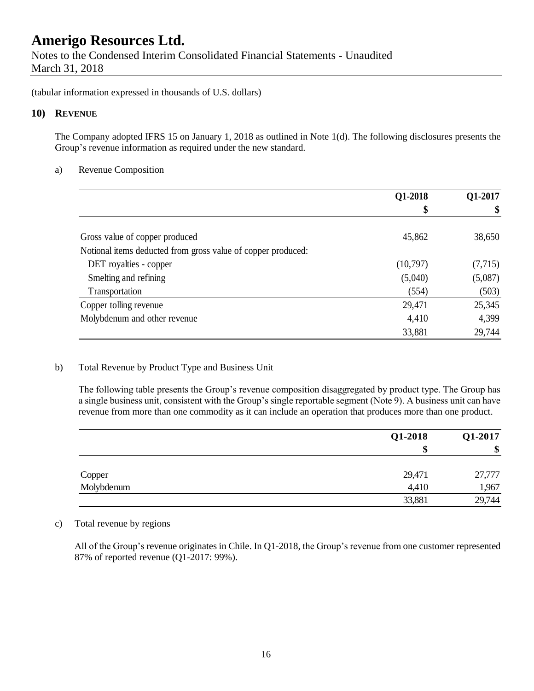Notes to the Condensed Interim Consolidated Financial Statements - Unaudited March 31, 2018

(tabular information expressed in thousands of U.S. dollars)

### **10) REVENUE**

The Company adopted IFRS 15 on January 1, 2018 as outlined in Note 1(d). The following disclosures presents the Group's revenue information as required under the new standard.

### a) Revenue Composition

|                                                              | Q1-2018<br>\$ | Q1-2017 |
|--------------------------------------------------------------|---------------|---------|
|                                                              |               |         |
| Gross value of copper produced                               | 45,862        | 38,650  |
| Notional items deducted from gross value of copper produced: |               |         |
| DET royalties - copper                                       | (10,797)      | (7,715) |
| Smelting and refining                                        | (5,040)       | (5,087) |
| Transportation                                               | (554)         | (503)   |
| Copper tolling revenue                                       | 29,471        | 25,345  |
| Molybdenum and other revenue                                 | 4,410         | 4,399   |
|                                                              | 33,881        | 29,744  |

### b) Total Revenue by Product Type and Business Unit

The following table presents the Group's revenue composition disaggregated by product type. The Group has a single business unit, consistent with the Group's single reportable segment (Note 9). A business unit can have revenue from more than one commodity as it can include an operation that produces more than one product.

|                      | Q1-2018 | Q1-2017 |
|----------------------|---------|---------|
|                      | \$      | \$      |
|                      |         |         |
|                      | 29,471  | 27,777  |
| Copper<br>Molybdenum | 4,410   | 1,967   |
|                      | 33,881  | 29,744  |

### c) Total revenue by regions

All of the Group's revenue originates in Chile. In Q1-2018, the Group's revenue from one customer represented 87% of reported revenue (Q1-2017: 99%).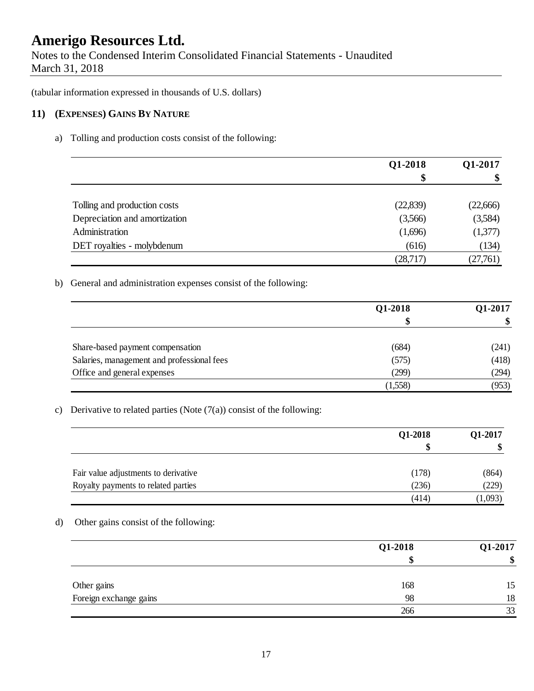Notes to the Condensed Interim Consolidated Financial Statements - Unaudited March 31, 2018

(tabular information expressed in thousands of U.S. dollars)

### **11) (EXPENSES) GAINS BY NATURE**

a) Tolling and production costs consist of the following:

|                               | Q1-2018  | Q1-2017<br>\$ |
|-------------------------------|----------|---------------|
|                               | \$       |               |
| Tolling and production costs  | (22,839) | (22,666)      |
| Depreciation and amortization | (3,566)  | (3,584)       |
| Administration                | (1,696)  | (1,377)       |
| DET royalties - molybdenum    | (616)    | (134)         |
|                               | (28,717) | (27,761)      |

b) General and administration expenses consist of the following:

|                                            | Q1-2018 | Q1-2017<br>\$ |
|--------------------------------------------|---------|---------------|
|                                            | \$      |               |
| Share-based payment compensation           | (684)   | (241)         |
| Salaries, management and professional fees | (575)   | (418)         |
| Office and general expenses                | (299)   | (294)         |
|                                            | (1,558) | (953)         |

c) Derivative to related parties (Note  $(7(a))$  consist of the following:

|                                      | Q1-2018 | Q1-2017 |
|--------------------------------------|---------|---------|
|                                      |         |         |
| Fair value adjustments to derivative | (178)   | (864)   |
| Royalty payments to related parties  | (236)   | (229)   |
|                                      | (414)   | (1,093) |

d) Other gains consist of the following:

|                        | $Q1-2018$ | Q1-2017 |
|------------------------|-----------|---------|
|                        |           | \$      |
| Other gains            | 168       | 15      |
| Foreign exchange gains | 98        | 18      |
|                        | 266       | 33      |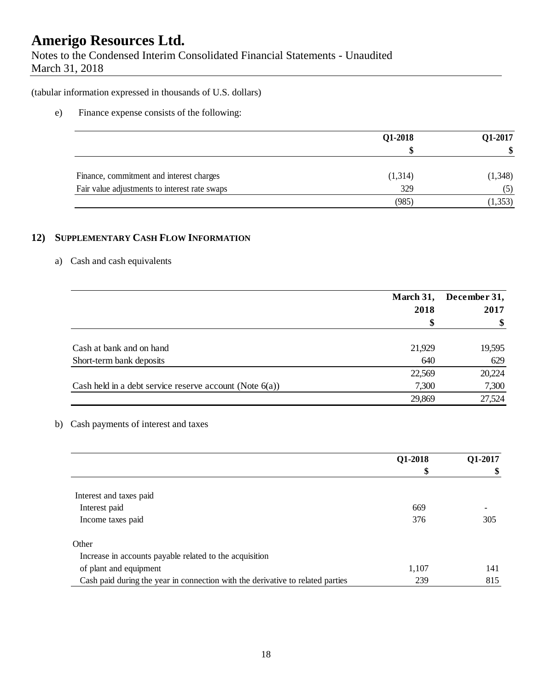Notes to the Condensed Interim Consolidated Financial Statements - Unaudited March 31, 2018

(tabular information expressed in thousands of U.S. dollars)

### e) Finance expense consists of the following:

|                                               | Q1-2018 | Q1-2017<br>\$ |
|-----------------------------------------------|---------|---------------|
|                                               |         |               |
| Finance, commitment and interest charges      | (1,314) | (1, 348)      |
| Fair value adjustments to interest rate swaps | 329     | (5)           |
|                                               | (985)   | (1, 353)      |

### **12) SUPPLEMENTARY CASH FLOW INFORMATION**

### a) Cash and cash equivalents

|                                                            | March 31, | December 31, |  |
|------------------------------------------------------------|-----------|--------------|--|
|                                                            | 2018      | 2017         |  |
|                                                            | S         |              |  |
|                                                            |           |              |  |
| Cash at bank and on hand                                   | 21,929    | 19,595       |  |
| Short-term bank deposits                                   | 640       | 629          |  |
|                                                            | 22,569    | 20,224       |  |
| Cash held in a debt service reserve account (Note $6(a)$ ) | 7,300     | 7,300        |  |
|                                                            | 29,869    | 27,524       |  |

### b) Cash payments of interest and taxes

|                                                                                | Q1-2018 | Q1-2017 |
|--------------------------------------------------------------------------------|---------|---------|
|                                                                                | \$      | \$      |
|                                                                                |         |         |
| Interest and taxes paid                                                        |         |         |
| Interest paid                                                                  | 669     |         |
| Income taxes paid                                                              | 376     | 305     |
| Other                                                                          |         |         |
| Increase in accounts payable related to the acquisition                        |         |         |
| of plant and equipment                                                         | 1,107   | 141     |
| Cash paid during the year in connection with the derivative to related parties | 239     | 815     |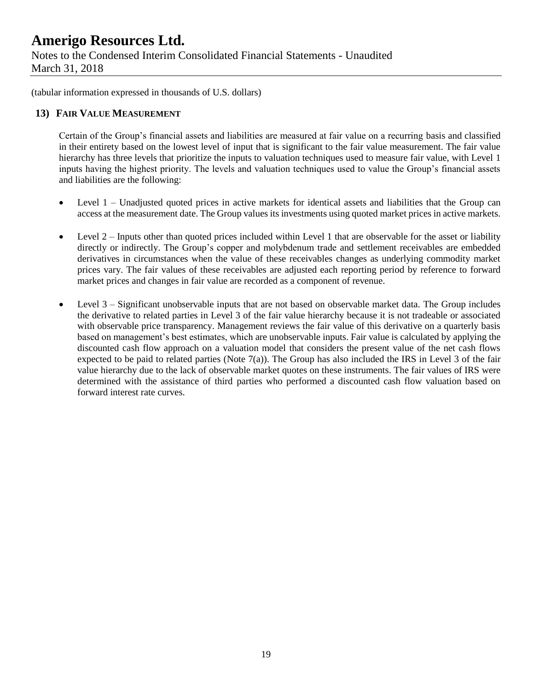Notes to the Condensed Interim Consolidated Financial Statements - Unaudited March 31, 2018

(tabular information expressed in thousands of U.S. dollars)

### **13) FAIR VALUE MEASUREMENT**

Certain of the Group's financial assets and liabilities are measured at fair value on a recurring basis and classified in their entirety based on the lowest level of input that is significant to the fair value measurement. The fair value hierarchy has three levels that prioritize the inputs to valuation techniques used to measure fair value, with Level 1 inputs having the highest priority. The levels and valuation techniques used to value the Group's financial assets and liabilities are the following:

- Level 1 Unadjusted quoted prices in active markets for identical assets and liabilities that the Group can access at the measurement date. The Group values its investments using quoted market prices in active markets.
- Level  $2$  Inputs other than quoted prices included within Level 1 that are observable for the asset or liability directly or indirectly. The Group's copper and molybdenum trade and settlement receivables are embedded derivatives in circumstances when the value of these receivables changes as underlying commodity market prices vary. The fair values of these receivables are adjusted each reporting period by reference to forward market prices and changes in fair value are recorded as a component of revenue.
- Level 3 Significant unobservable inputs that are not based on observable market data. The Group includes the derivative to related parties in Level 3 of the fair value hierarchy because it is not tradeable or associated with observable price transparency. Management reviews the fair value of this derivative on a quarterly basis based on management's best estimates, which are unobservable inputs. Fair value is calculated by applying the discounted cash flow approach on a valuation model that considers the present value of the net cash flows expected to be paid to related parties (Note 7(a)). The Group has also included the IRS in Level 3 of the fair value hierarchy due to the lack of observable market quotes on these instruments. The fair values of IRS were determined with the assistance of third parties who performed a discounted cash flow valuation based on forward interest rate curves.